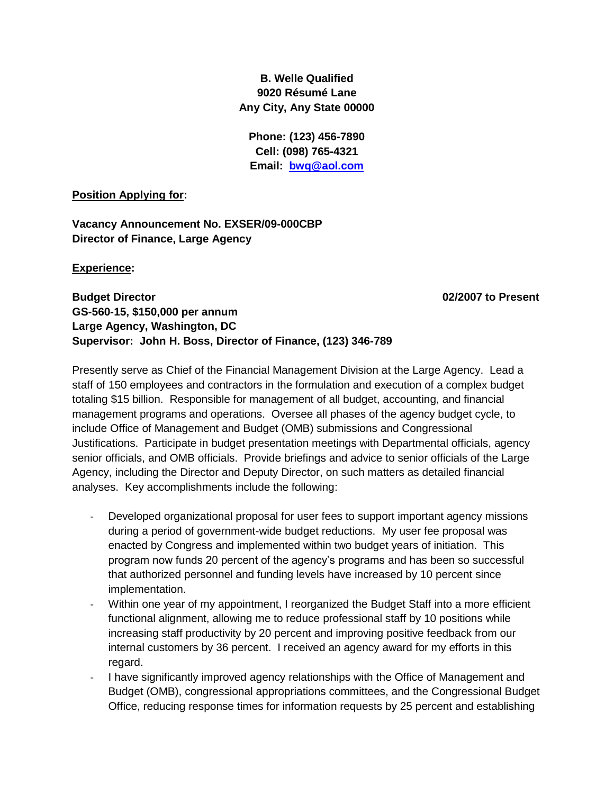## **B. Welle Qualified 9020 Résumé Lane Any City, Any State 00000**

**Phone: (123) 456-7890 Cell: (098) 765-4321 Email: [bwq@aol.com](mailto:bwq@aol.com)**

#### **Position Applying for:**

**Vacancy Announcement No. EXSER/09-000CBP Director of Finance, Large Agency**

#### **Experience:**

**Budget Director 02/2007 to Present GS-560-15, \$150,000 per annum Large Agency, Washington, DC Supervisor: John H. Boss, Director of Finance, (123) 346-789**

Presently serve as Chief of the Financial Management Division at the Large Agency. Lead a staff of 150 employees and contractors in the formulation and execution of a complex budget totaling \$15 billion. Responsible for management of all budget, accounting, and financial management programs and operations. Oversee all phases of the agency budget cycle, to include Office of Management and Budget (OMB) submissions and Congressional Justifications. Participate in budget presentation meetings with Departmental officials, agency senior officials, and OMB officials. Provide briefings and advice to senior officials of the Large Agency, including the Director and Deputy Director, on such matters as detailed financial analyses. Key accomplishments include the following:

- Developed organizational proposal for user fees to support important agency missions during a period of government-wide budget reductions. My user fee proposal was enacted by Congress and implemented within two budget years of initiation. This program now funds 20 percent of the agency's programs and has been so successful that authorized personnel and funding levels have increased by 10 percent since implementation.
- Within one year of my appointment, I reorganized the Budget Staff into a more efficient functional alignment, allowing me to reduce professional staff by 10 positions while increasing staff productivity by 20 percent and improving positive feedback from our internal customers by 36 percent. I received an agency award for my efforts in this regard.
- I have significantly improved agency relationships with the Office of Management and Budget (OMB), congressional appropriations committees, and the Congressional Budget Office, reducing response times for information requests by 25 percent and establishing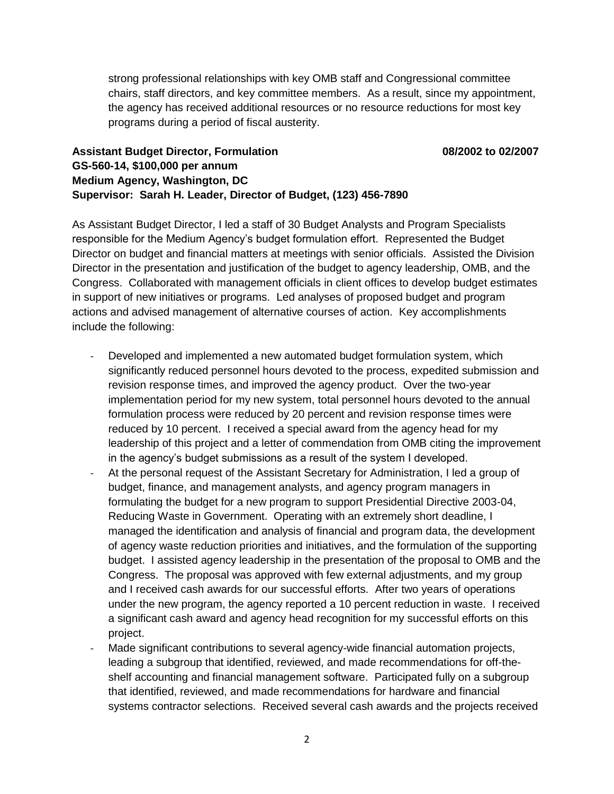strong professional relationships with key OMB staff and Congressional committee chairs, staff directors, and key committee members. As a result, since my appointment, the agency has received additional resources or no resource reductions for most key programs during a period of fiscal austerity.

# **Assistant Budget Director, Formulation 08/2002 to 02/2007 GS-560-14, \$100,000 per annum Medium Agency, Washington, DC Supervisor: Sarah H. Leader, Director of Budget, (123) 456-7890**

As Assistant Budget Director, I led a staff of 30 Budget Analysts and Program Specialists responsible for the Medium Agency's budget formulation effort. Represented the Budget Director on budget and financial matters at meetings with senior officials. Assisted the Division Director in the presentation and justification of the budget to agency leadership, OMB, and the Congress. Collaborated with management officials in client offices to develop budget estimates in support of new initiatives or programs. Led analyses of proposed budget and program actions and advised management of alternative courses of action. Key accomplishments include the following:

- Developed and implemented a new automated budget formulation system, which significantly reduced personnel hours devoted to the process, expedited submission and revision response times, and improved the agency product. Over the two-year implementation period for my new system, total personnel hours devoted to the annual formulation process were reduced by 20 percent and revision response times were reduced by 10 percent. I received a special award from the agency head for my leadership of this project and a letter of commendation from OMB citing the improvement in the agency's budget submissions as a result of the system I developed.
- At the personal request of the Assistant Secretary for Administration, I led a group of budget, finance, and management analysts, and agency program managers in formulating the budget for a new program to support Presidential Directive 2003-04, Reducing Waste in Government. Operating with an extremely short deadline, I managed the identification and analysis of financial and program data, the development of agency waste reduction priorities and initiatives, and the formulation of the supporting budget. I assisted agency leadership in the presentation of the proposal to OMB and the Congress. The proposal was approved with few external adjustments, and my group and I received cash awards for our successful efforts. After two years of operations under the new program, the agency reported a 10 percent reduction in waste. I received a significant cash award and agency head recognition for my successful efforts on this project.
- Made significant contributions to several agency-wide financial automation projects, leading a subgroup that identified, reviewed, and made recommendations for off-theshelf accounting and financial management software. Participated fully on a subgroup that identified, reviewed, and made recommendations for hardware and financial systems contractor selections. Received several cash awards and the projects received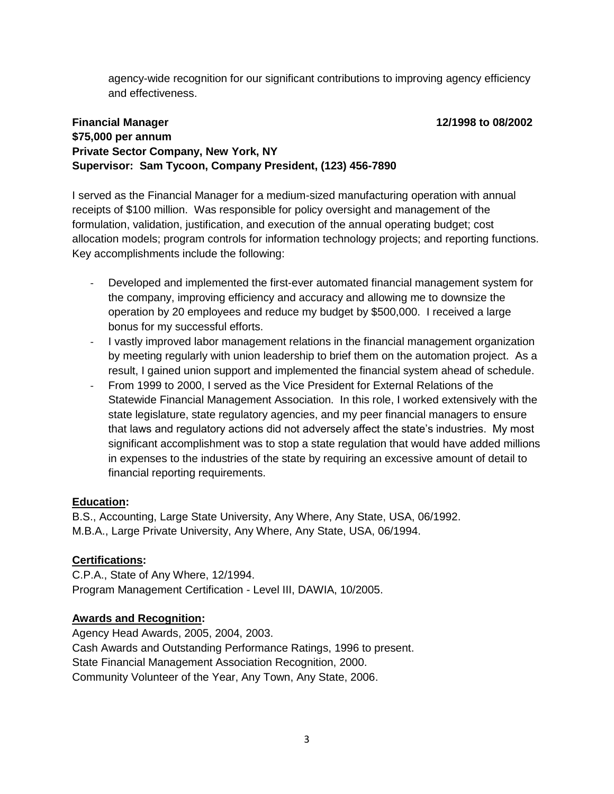agency-wide recognition for our significant contributions to improving agency efficiency and effectiveness.

## **Financial Manager 12/1998 to 08/2002 \$75,000 per annum Private Sector Company, New York, NY Supervisor: Sam Tycoon, Company President, (123) 456-7890**

I served as the Financial Manager for a medium-sized manufacturing operation with annual receipts of \$100 million. Was responsible for policy oversight and management of the formulation, validation, justification, and execution of the annual operating budget; cost allocation models; program controls for information technology projects; and reporting functions. Key accomplishments include the following:

- Developed and implemented the first-ever automated financial management system for the company, improving efficiency and accuracy and allowing me to downsize the operation by 20 employees and reduce my budget by \$500,000. I received a large bonus for my successful efforts.
- I vastly improved labor management relations in the financial management organization by meeting regularly with union leadership to brief them on the automation project. As a result, I gained union support and implemented the financial system ahead of schedule.
- From 1999 to 2000, I served as the Vice President for External Relations of the Statewide Financial Management Association. In this role, I worked extensively with the state legislature, state regulatory agencies, and my peer financial managers to ensure that laws and regulatory actions did not adversely affect the state's industries. My most significant accomplishment was to stop a state regulation that would have added millions in expenses to the industries of the state by requiring an excessive amount of detail to financial reporting requirements.

## **Education:**

B.S., Accounting, Large State University, Any Where, Any State, USA, 06/1992. M.B.A., Large Private University, Any Where, Any State, USA, 06/1994.

## **Certifications:**

C.P.A., State of Any Where, 12/1994. Program Management Certification - Level III, DAWIA, 10/2005.

#### **Awards and Recognition:**

Agency Head Awards, 2005, 2004, 2003. Cash Awards and Outstanding Performance Ratings, 1996 to present. State Financial Management Association Recognition, 2000. Community Volunteer of the Year, Any Town, Any State, 2006.